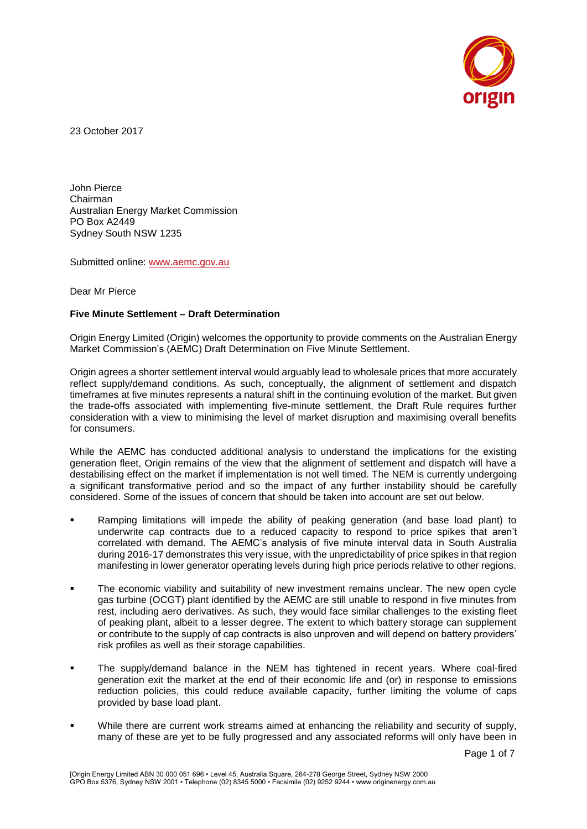

23 October 2017

John Pierce Chairman Australian Energy Market Commission PO Box A2449 Sydney South NSW 1235

Submitted online: [www.aemc.gov.au](http://www.aemc.gov.au/)

Dear Mr Pierce

#### **Five Minute Settlement – Draft Determination**

Origin Energy Limited (Origin) welcomes the opportunity to provide comments on the Australian Energy Market Commission's (AEMC) Draft Determination on Five Minute Settlement.

Origin agrees a shorter settlement interval would arguably lead to wholesale prices that more accurately reflect supply/demand conditions. As such, conceptually, the alignment of settlement and dispatch timeframes at five minutes represents a natural shift in the continuing evolution of the market. But given the trade-offs associated with implementing five-minute settlement, the Draft Rule requires further consideration with a view to minimising the level of market disruption and maximising overall benefits for consumers.

While the AEMC has conducted additional analysis to understand the implications for the existing generation fleet, Origin remains of the view that the alignment of settlement and dispatch will have a destabilising effect on the market if implementation is not well timed. The NEM is currently undergoing a significant transformative period and so the impact of any further instability should be carefully considered. Some of the issues of concern that should be taken into account are set out below.

- Ramping limitations will impede the ability of peaking generation (and base load plant) to underwrite cap contracts due to a reduced capacity to respond to price spikes that aren't correlated with demand. The AEMC's analysis of five minute interval data in South Australia during 2016-17 demonstrates this very issue, with the unpredictability of price spikes in that region manifesting in lower generator operating levels during high price periods relative to other regions.
- The economic viability and suitability of new investment remains unclear. The new open cycle gas turbine (OCGT) plant identified by the AEMC are still unable to respond in five minutes from rest, including aero derivatives. As such, they would face similar challenges to the existing fleet of peaking plant, albeit to a lesser degree. The extent to which battery storage can supplement or contribute to the supply of cap contracts is also unproven and will depend on battery providers' risk profiles as well as their storage capabilities.
- The supply/demand balance in the NEM has tightened in recent years. Where coal-fired generation exit the market at the end of their economic life and (or) in response to emissions reduction policies, this could reduce available capacity, further limiting the volume of caps provided by base load plant.
- While there are current work streams aimed at enhancing the reliability and security of supply, many of these are yet to be fully progressed and any associated reforms will only have been in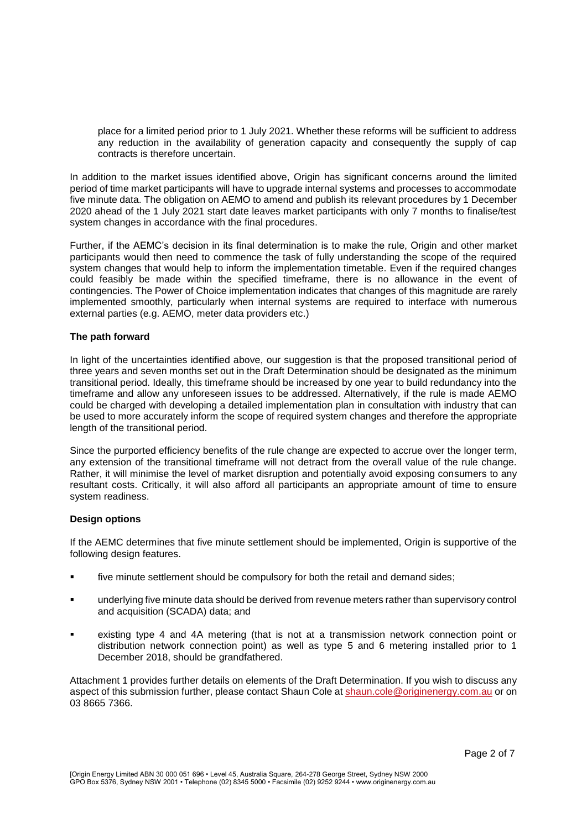place for a limited period prior to 1 July 2021. Whether these reforms will be sufficient to address any reduction in the availability of generation capacity and consequently the supply of cap contracts is therefore uncertain.

In addition to the market issues identified above, Origin has significant concerns around the limited period of time market participants will have to upgrade internal systems and processes to accommodate five minute data. The obligation on AEMO to amend and publish its relevant procedures by 1 December 2020 ahead of the 1 July 2021 start date leaves market participants with only 7 months to finalise/test system changes in accordance with the final procedures.

Further, if the AEMC's decision in its final determination is to make the rule, Origin and other market participants would then need to commence the task of fully understanding the scope of the required system changes that would help to inform the implementation timetable. Even if the required changes could feasibly be made within the specified timeframe, there is no allowance in the event of contingencies. The Power of Choice implementation indicates that changes of this magnitude are rarely implemented smoothly, particularly when internal systems are required to interface with numerous external parties (e.g. AEMO, meter data providers etc.)

#### **The path forward**

In light of the uncertainties identified above, our suggestion is that the proposed transitional period of three years and seven months set out in the Draft Determination should be designated as the minimum transitional period. Ideally, this timeframe should be increased by one year to build redundancy into the timeframe and allow any unforeseen issues to be addressed. Alternatively, if the rule is made AEMO could be charged with developing a detailed implementation plan in consultation with industry that can be used to more accurately inform the scope of required system changes and therefore the appropriate length of the transitional period.

Since the purported efficiency benefits of the rule change are expected to accrue over the longer term, any extension of the transitional timeframe will not detract from the overall value of the rule change. Rather, it will minimise the level of market disruption and potentially avoid exposing consumers to any resultant costs. Critically, it will also afford all participants an appropriate amount of time to ensure system readiness.

#### **Design options**

If the AEMC determines that five minute settlement should be implemented, Origin is supportive of the following design features.

- five minute settlement should be compulsory for both the retail and demand sides;
- underlying five minute data should be derived from revenue meters rather than supervisory control and acquisition (SCADA) data; and
- existing type 4 and 4A metering (that is not at a transmission network connection point or distribution network connection point) as well as type 5 and 6 metering installed prior to 1 December 2018, should be grandfathered.

Attachment 1 provides further details on elements of the Draft Determination. If you wish to discuss any aspect of this submission further, please contact Shaun Cole at [shaun.cole@originenergy.com.au](mailto:shaun.cole@originenergy.com.au) or on 03 8665 7366.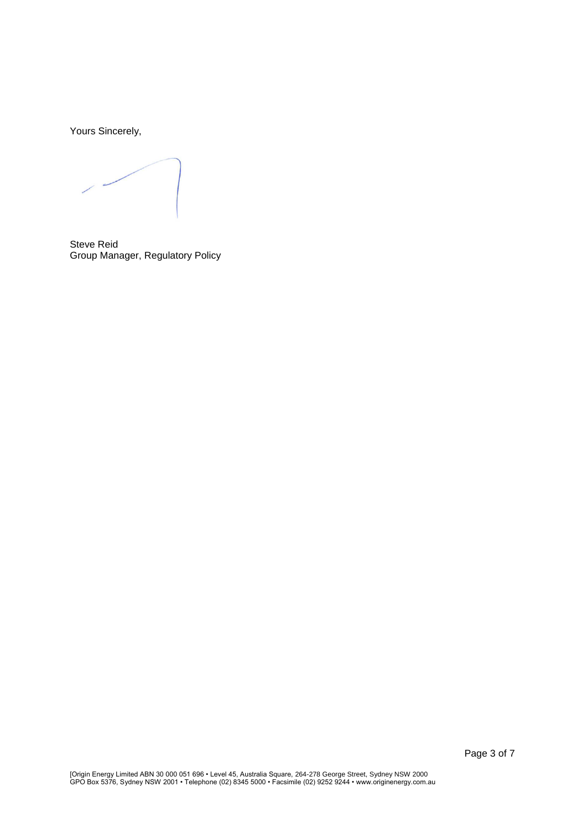Yours Sincerely,

Steve Reid Group Manager, Regulatory Policy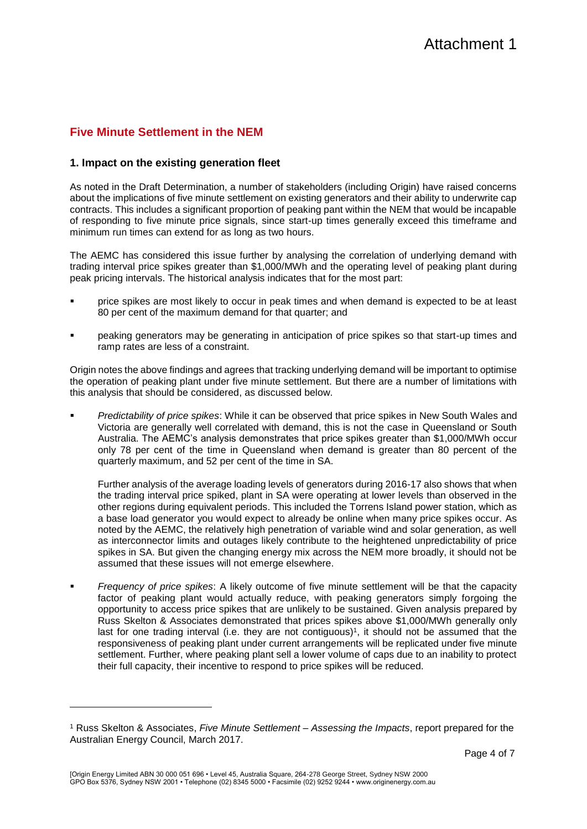# **Five Minute Settlement in the NEM**

### **1. Impact on the existing generation fleet**

As noted in the Draft Determination, a number of stakeholders (including Origin) have raised concerns about the implications of five minute settlement on existing generators and their ability to underwrite cap contracts. This includes a significant proportion of peaking pant within the NEM that would be incapable of responding to five minute price signals, since start-up times generally exceed this timeframe and minimum run times can extend for as long as two hours.

The AEMC has considered this issue further by analysing the correlation of underlying demand with trading interval price spikes greater than \$1,000/MWh and the operating level of peaking plant during peak pricing intervals. The historical analysis indicates that for the most part:

- price spikes are most likely to occur in peak times and when demand is expected to be at least 80 per cent of the maximum demand for that quarter; and
- peaking generators may be generating in anticipation of price spikes so that start-up times and ramp rates are less of a constraint.

Origin notes the above findings and agrees that tracking underlying demand will be important to optimise the operation of peaking plant under five minute settlement. But there are a number of limitations with this analysis that should be considered, as discussed below.

 *Predictability of price spikes*: While it can be observed that price spikes in New South Wales and Victoria are generally well correlated with demand, this is not the case in Queensland or South Australia. The AEMC's analysis demonstrates that price spikes greater than \$1,000/MWh occur only 78 per cent of the time in Queensland when demand is greater than 80 percent of the quarterly maximum, and 52 per cent of the time in SA.

Further analysis of the average loading levels of generators during 2016-17 also shows that when the trading interval price spiked, plant in SA were operating at lower levels than observed in the other regions during equivalent periods. This included the Torrens Island power station, which as a base load generator you would expect to already be online when many price spikes occur. As noted by the AEMC, the relatively high penetration of variable wind and solar generation, as well as interconnector limits and outages likely contribute to the heightened unpredictability of price spikes in SA. But given the changing energy mix across the NEM more broadly, it should not be assumed that these issues will not emerge elsewhere.

 *Frequency of price spikes*: A likely outcome of five minute settlement will be that the capacity factor of peaking plant would actually reduce, with peaking generators simply forgoing the opportunity to access price spikes that are unlikely to be sustained. Given analysis prepared by Russ Skelton & Associates demonstrated that prices spikes above \$1,000/MWh generally only last for one trading interval (i.e. they are not contiguous)<sup>1</sup>, it should not be assumed that the responsiveness of peaking plant under current arrangements will be replicated under five minute settlement. Further, where peaking plant sell a lower volume of caps due to an inability to protect their full capacity, their incentive to respond to price spikes will be reduced.

l

<sup>1</sup> Russ Skelton & Associates, *Five Minute Settlement – Assessing the Impacts*, report prepared for the Australian Energy Council, March 2017.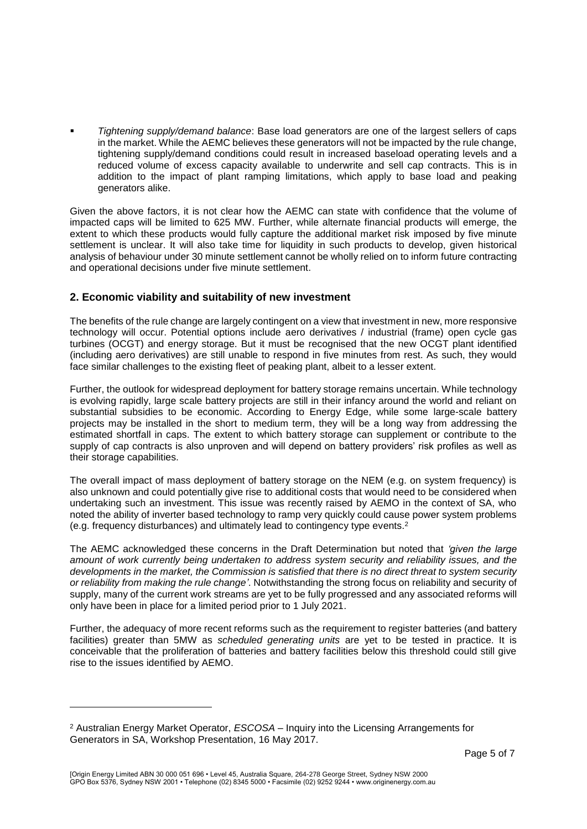*Tightening supply/demand balance*: Base load generators are one of the largest sellers of caps in the market. While the AEMC believes these generators will not be impacted by the rule change, tightening supply/demand conditions could result in increased baseload operating levels and a reduced volume of excess capacity available to underwrite and sell cap contracts. This is in addition to the impact of plant ramping limitations, which apply to base load and peaking generators alike.

Given the above factors, it is not clear how the AEMC can state with confidence that the volume of impacted caps will be limited to 625 MW. Further, while alternate financial products will emerge, the extent to which these products would fully capture the additional market risk imposed by five minute settlement is unclear. It will also take time for liquidity in such products to develop, given historical analysis of behaviour under 30 minute settlement cannot be wholly relied on to inform future contracting and operational decisions under five minute settlement.

## **2. Economic viability and suitability of new investment**

The benefits of the rule change are largely contingent on a view that investment in new, more responsive technology will occur. Potential options include aero derivatives / industrial (frame) open cycle gas turbines (OCGT) and energy storage. But it must be recognised that the new OCGT plant identified (including aero derivatives) are still unable to respond in five minutes from rest. As such, they would face similar challenges to the existing fleet of peaking plant, albeit to a lesser extent.

Further, the outlook for widespread deployment for battery storage remains uncertain. While technology is evolving rapidly, large scale battery projects are still in their infancy around the world and reliant on substantial subsidies to be economic. According to Energy Edge, while some large-scale battery projects may be installed in the short to medium term, they will be a long way from addressing the estimated shortfall in caps. The extent to which battery storage can supplement or contribute to the supply of cap contracts is also unproven and will depend on battery providers' risk profiles as well as their storage capabilities.

The overall impact of mass deployment of battery storage on the NEM (e.g. on system frequency) is also unknown and could potentially give rise to additional costs that would need to be considered when undertaking such an investment. This issue was recently raised by AEMO in the context of SA, who noted the ability of inverter based technology to ramp very quickly could cause power system problems (e.g. frequency disturbances) and ultimately lead to contingency type events.<sup>2</sup>

The AEMC acknowledged these concerns in the Draft Determination but noted that *'given the large amount of work currently being undertaken to address system security and reliability issues, and the developments in the market, the Commission is satisfied that there is no direct threat to system security or reliability from making the rule change'*. Notwithstanding the strong focus on reliability and security of supply, many of the current work streams are yet to be fully progressed and any associated reforms will only have been in place for a limited period prior to 1 July 2021.

Further, the adequacy of more recent reforms such as the requirement to register batteries (and battery facilities) greater than 5MW as *scheduled generating units* are yet to be tested in practice. It is conceivable that the proliferation of batteries and battery facilities below this threshold could still give rise to the issues identified by AEMO.

l

<sup>2</sup> Australian Energy Market Operator, *ESCOSA –* Inquiry into the Licensing Arrangements for Generators in SA, Workshop Presentation, 16 May 2017.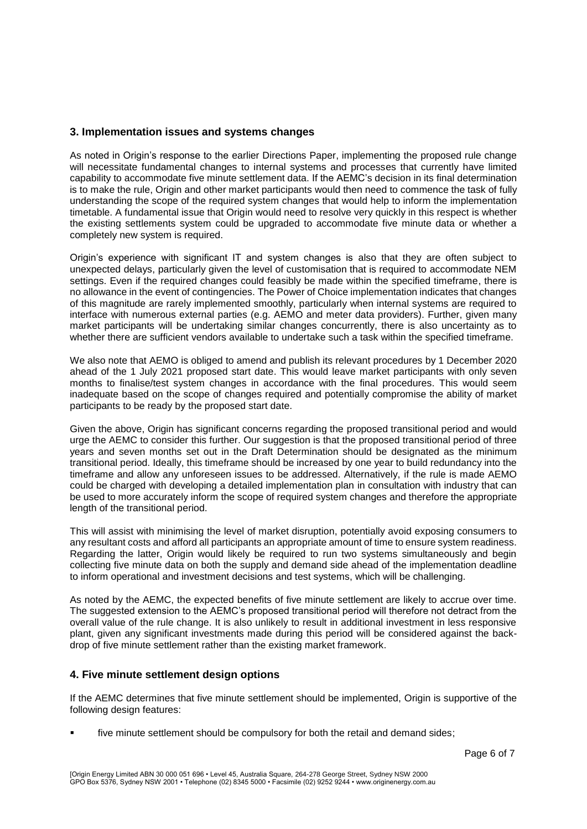### **3. Implementation issues and systems changes**

As noted in Origin's response to the earlier Directions Paper, implementing the proposed rule change will necessitate fundamental changes to internal systems and processes that currently have limited capability to accommodate five minute settlement data. If the AEMC's decision in its final determination is to make the rule, Origin and other market participants would then need to commence the task of fully understanding the scope of the required system changes that would help to inform the implementation timetable. A fundamental issue that Origin would need to resolve very quickly in this respect is whether the existing settlements system could be upgraded to accommodate five minute data or whether a completely new system is required.

Origin's experience with significant IT and system changes is also that they are often subject to unexpected delays, particularly given the level of customisation that is required to accommodate NEM settings. Even if the required changes could feasibly be made within the specified timeframe, there is no allowance in the event of contingencies. The Power of Choice implementation indicates that changes of this magnitude are rarely implemented smoothly, particularly when internal systems are required to interface with numerous external parties (e.g. AEMO and meter data providers). Further, given many market participants will be undertaking similar changes concurrently, there is also uncertainty as to whether there are sufficient vendors available to undertake such a task within the specified timeframe.

We also note that AEMO is obliged to amend and publish its relevant procedures by 1 December 2020 ahead of the 1 July 2021 proposed start date. This would leave market participants with only seven months to finalise/test system changes in accordance with the final procedures. This would seem inadequate based on the scope of changes required and potentially compromise the ability of market participants to be ready by the proposed start date.

Given the above, Origin has significant concerns regarding the proposed transitional period and would urge the AEMC to consider this further. Our suggestion is that the proposed transitional period of three years and seven months set out in the Draft Determination should be designated as the minimum transitional period. Ideally, this timeframe should be increased by one year to build redundancy into the timeframe and allow any unforeseen issues to be addressed. Alternatively, if the rule is made AEMO could be charged with developing a detailed implementation plan in consultation with industry that can be used to more accurately inform the scope of required system changes and therefore the appropriate length of the transitional period.

This will assist with minimising the level of market disruption, potentially avoid exposing consumers to any resultant costs and afford all participants an appropriate amount of time to ensure system readiness. Regarding the latter, Origin would likely be required to run two systems simultaneously and begin collecting five minute data on both the supply and demand side ahead of the implementation deadline to inform operational and investment decisions and test systems, which will be challenging.

As noted by the AEMC, the expected benefits of five minute settlement are likely to accrue over time. The suggested extension to the AEMC's proposed transitional period will therefore not detract from the overall value of the rule change. It is also unlikely to result in additional investment in less responsive plant, given any significant investments made during this period will be considered against the backdrop of five minute settlement rather than the existing market framework.

### **4. Five minute settlement design options**

If the AEMC determines that five minute settlement should be implemented, Origin is supportive of the following design features:

five minute settlement should be compulsory for both the retail and demand sides;